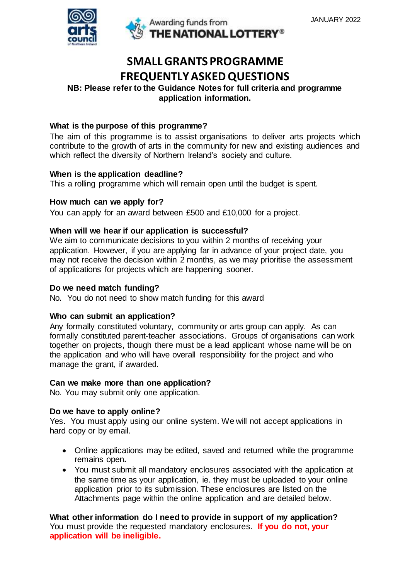

# **SMALL GRANTS PROGRAMME FREQUENTLY ASKED QUESTIONS**

# **NB: Please refer to the Guidance Notes for full criteria and programme application information.**

# **What is the purpose of this programme?**

The aim of this programme is to assist organisations to deliver arts projects which contribute to the growth of arts in the community for new and existing audiences and which reflect the diversity of Northern Ireland's society and culture.

# **When is the application deadline?**

This a rolling programme which will remain open until the budget is spent.

#### **How much can we apply for?**

You can apply for an award between £500 and £10,000 for a project.

#### **When will we hear if our application is successful?**

We aim to communicate decisions to you within 2 months of receiving your application. However, if you are applying far in advance of your project date, you may not receive the decision within 2 months, as we may prioritise the assessment of applications for projects which are happening sooner.

#### **Do we need match funding?**

No. You do not need to show match funding for this award

#### **Who can submit an application?**

Any formally constituted voluntary, community or arts group can apply. As can formally constituted parent-teacher associations. Groups of organisations can work together on projects, though there must be a lead applicant whose name will be on the application and who will have overall responsibility for the project and who manage the grant, if awarded.

#### **Can we make more than one application?**

No. You may submit only one application.

#### **Do we have to apply online?**

Yes. You must apply using our online system. We will not accept applications in hard copy or by email.

- Online applications may be edited, saved and returned while the programme remains open**.**
- You must submit all mandatory enclosures associated with the application at the same time as your application, ie. they must be uploaded to your online application prior to its submission. These enclosures are listed on the Attachments page within the online application and are detailed below.

**What other information do I need to provide in support of my application?** You must provide the requested mandatory enclosures. **If you do not, your application will be ineligible.**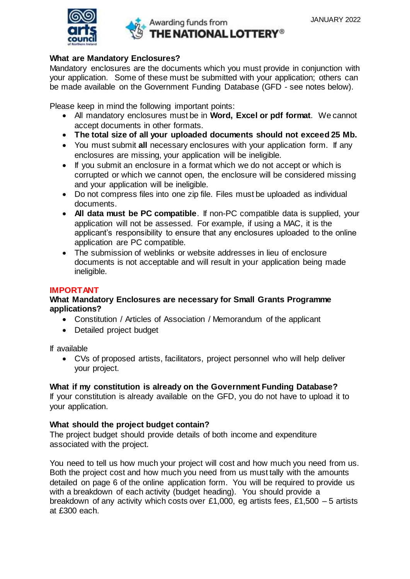

# Awarding funds from THE NATIONAL LOTTERY®

#### **What are Mandatory Enclosures?**

Mandatory enclosures are the documents which you must provide in conjunction with your application. Some of these must be submitted with your application; others can be made available on the Government Funding Database (GFD - see notes below).

Please keep in mind the following important points:

- All mandatory enclosures must be in **Word, Excel or pdf format**. We cannot accept documents in other formats.
- **The total size of all your uploaded documents should not exceed 25 Mb.**
- You must submit **all** necessary enclosures with your application form. If any enclosures are missing, your application will be ineligible.
- If you submit an enclosure in a format which we do not accept or which is corrupted or which we cannot open, the enclosure will be considered missing and your application will be ineligible.
- Do not compress files into one zip file. Files must be uploaded as individual documents.
- **All data must be PC compatible**. If non-PC compatible data is supplied, your application will not be assessed. For example, if using a MAC, it is the applicant's responsibility to ensure that any enclosures uploaded to the online application are PC compatible.
- The submission of weblinks or website addresses in lieu of enclosure documents is not acceptable and will result in your application being made ineligible.

### **IMPORTANT**

#### **What Mandatory Enclosures are necessary for Small Grants Programme applications?**

- Constitution / Articles of Association / Memorandum of the applicant
- Detailed project budget

If available

 CVs of proposed artists, facilitators, project personnel who will help deliver your project.

#### **What if my constitution is already on the Government Funding Database?**

If your constitution is already available on the GFD, you do not have to upload it to your application.

#### **What should the project budget contain?**

The project budget should provide details of both income and expenditure associated with the project.

You need to tell us how much your project will cost and how much you need from us. Both the project cost and how much you need from us must tally with the amounts detailed on page 6 of the online application form. You will be required to provide us with a breakdown of each activity (budget heading). You should provide a breakdown of any activity which costs over £1,000, eg artists fees, £1,500 – 5 artists at £300 each.